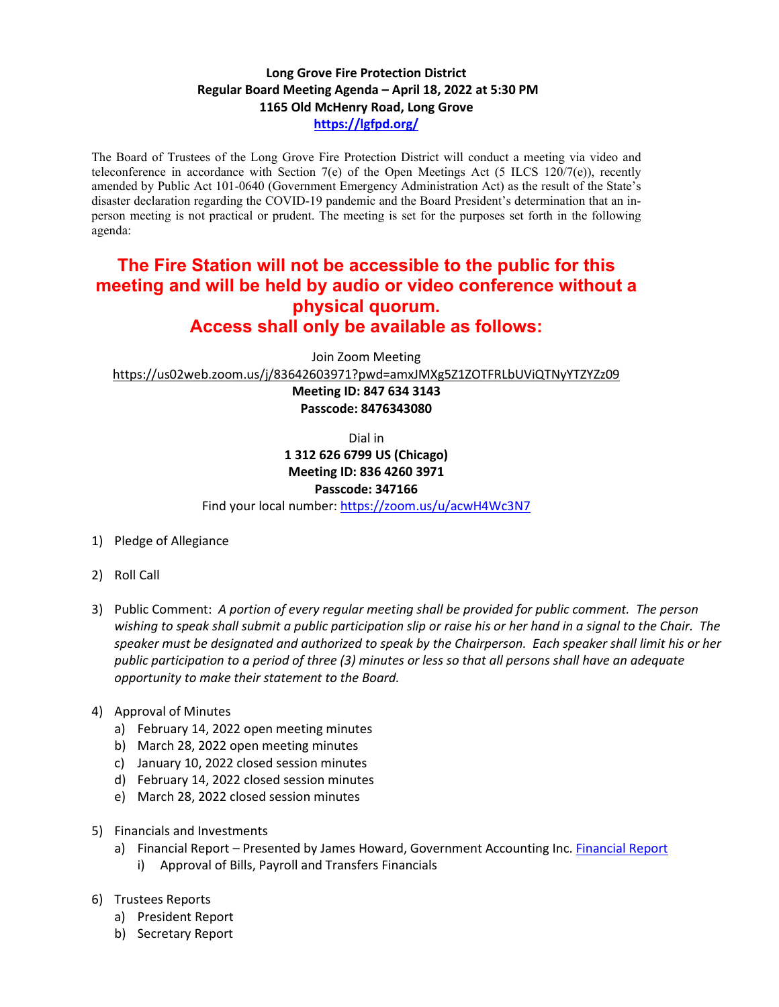## **Long Grove Fire Protection District Regular Board Meeting Agenda – April 18, 2022 at 5:30 PM 1165 Old McHenry Road, Long Grove <https://lgfpd.org/>**

The Board of Trustees of the Long Grove Fire Protection District will conduct a meeting via video and teleconference in accordance with Section 7(e) of the Open Meetings Act (5 ILCS 120/7(e)), recently amended by Public Act 101-0640 (Government Emergency Administration Act) as the result of the State's disaster declaration regarding the COVID-19 pandemic and the Board President's determination that an inperson meeting is not practical or prudent. The meeting is set for the purposes set forth in the following agenda:

## **The Fire Station will not be accessible to the public for this meeting and will be held by audio or video conference without a physical quorum. Access shall only be available as follows:**

Join Zoom Meeting

<https://us02web.zoom.us/j/83642603971?pwd=amxJMXg5Z1ZOTFRLbUViQTNyYTZYZz09>

**Meeting ID: 847 634 3143 Passcode: 8476343080**

Dial in

**1 312 626 6799 US (Chicago) Meeting ID: 836 4260 3971**

## **Passcode: 347166**

Find your local number[: https://zoom.us/u/acwH4Wc3N7](https://zoom.us/u/acwH4Wc3N7)

- 1) Pledge of Allegiance
- 2) Roll Call
- 3) Public Comment: *A portion of every regular meeting shall be provided for public comment. The person wishing to speak shall submit a public participation slip or raise his or her hand in a signal to the Chair. The speaker must be designated and authorized to speak by the Chairperson. Each speaker shall limit his or her public participation to a period of three (3) minutes or less so that all persons shall have an adequate opportunity to make their statement to the Board.*
- 4) Approval of Minutes
	- a) February 14, 2022 open meeting minutes
	- b) March 28, 2022 open meeting minutes
	- c) January 10, 2022 closed session minutes
	- d) February 14, 2022 closed session minutes
	- e) March 28, 2022 closed session minutes
- 5) Financials and Investments
	- a) Financial Report Presented by James Howard, Government Accounting Inc. [Financial Report](https://itgophers.sharepoint.com/:p:/s/SharedDocs/EfEx8dcNEhlAgh8hUurJ-gUBJ0feWLOd6XJ_UXt-b3uK8Q?e=R7beKe)
		- i) Approval of Bills, Payroll and Transfers Financials
- 6) Trustees Reports
	- a) President Report
	- b) Secretary Report